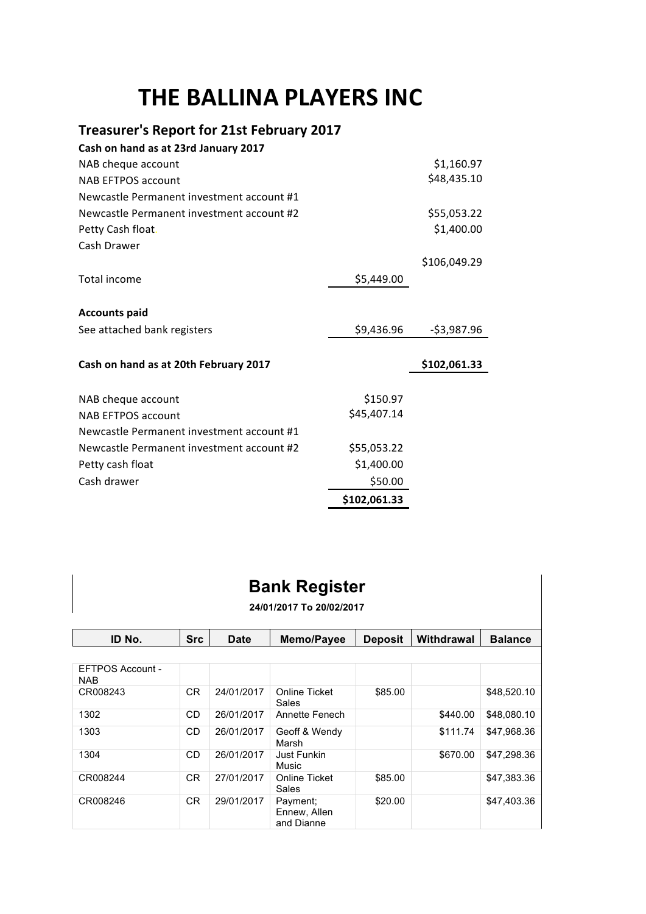## **THE BALLINA PLAYERS INC**

## **Treasurer's Report for 21st February 2017**

| Cash on hand as at 23rd January 2017      |              |              |
|-------------------------------------------|--------------|--------------|
| NAB cheque account                        |              | \$1,160.97   |
| <b>NAB EFTPOS account</b>                 |              | \$48,435.10  |
| Newcastle Permanent investment account #1 |              |              |
| Newcastle Permanent investment account #2 |              | \$55,053.22  |
| Petty Cash float.                         |              | \$1,400.00   |
| Cash Drawer                               |              |              |
|                                           |              | \$106,049.29 |
| Total income                              | \$5,449.00   |              |
|                                           |              |              |
| <b>Accounts paid</b>                      |              |              |
| See attached bank registers               | \$9,436.96   | -\$3,987.96  |
|                                           |              |              |
| Cash on hand as at 20th February 2017     |              | \$102,061.33 |
| NAB cheque account                        | \$150.97     |              |
| <b>NAB EFTPOS account</b>                 | \$45,407.14  |              |
| Newcastle Permanent investment account #1 |              |              |
| Newcastle Permanent investment account #2 | \$55,053.22  |              |
| Petty cash float                          | \$1,400.00   |              |
| Cash drawer                               | \$50.00      |              |
|                                           | \$102,061.33 |              |

## **Bank Register**

**24/01/2017 To 20/02/2017**

| ID No.                         | <b>Src</b>     | Date       | Memo/Payee                             | <b>Deposit</b> | Withdrawal | <b>Balance</b> |
|--------------------------------|----------------|------------|----------------------------------------|----------------|------------|----------------|
|                                |                |            |                                        |                |            |                |
| EFTPOS Account -<br><b>NAB</b> |                |            |                                        |                |            |                |
| CR008243                       | CR.            | 24/01/2017 | Online Ticket<br>Sales                 | \$85.00        |            | \$48,520.10    |
| 1302                           | C <sub>D</sub> | 26/01/2017 | Annette Fenech                         |                | \$440.00   | \$48,080.10    |
| 1303                           | CD.            | 26/01/2017 | Geoff & Wendy<br>Marsh                 |                | \$111.74   | \$47,968.36    |
| 1304                           | CD.            | 26/01/2017 | Just Funkin<br>Music                   |                | \$670.00   | \$47.298.36    |
| CR008244                       | CR.            | 27/01/2017 | Online Ticket<br>Sales                 | \$85.00        |            | \$47,383.36    |
| CR008246                       | <b>CR</b>      | 29/01/2017 | Payment:<br>Ennew, Allen<br>and Dianne | \$20.00        |            | \$47.403.36    |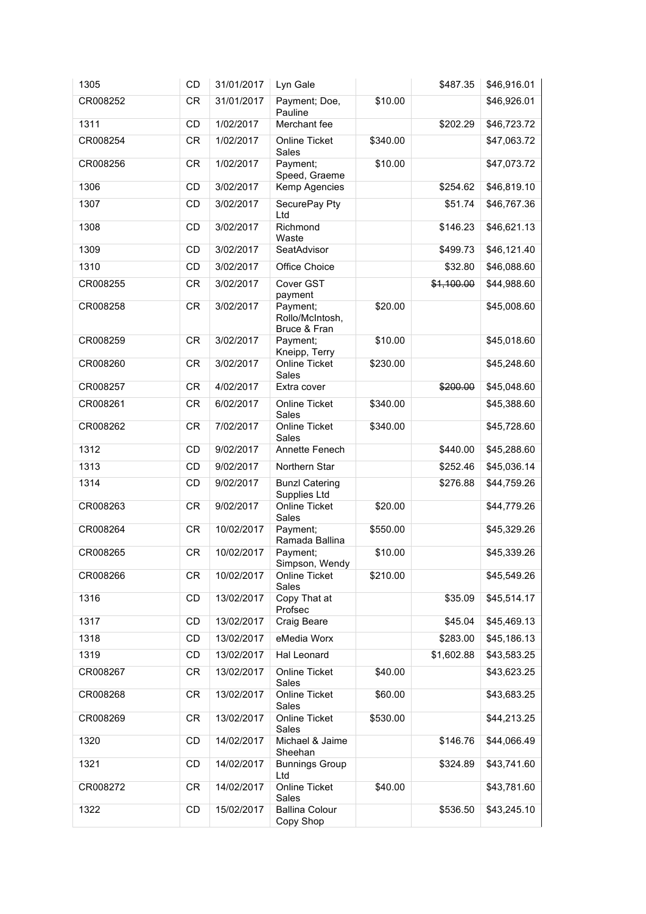| 1305     | <b>CD</b> | 31/01/2017 | Lyn Gale                                    |          | \$487.35   | \$46,916.01 |
|----------|-----------|------------|---------------------------------------------|----------|------------|-------------|
| CR008252 | <b>CR</b> | 31/01/2017 | Payment; Doe,<br>Pauline                    | \$10.00  |            | \$46,926.01 |
| 1311     | CD        | 1/02/2017  | Merchant fee                                |          | \$202.29   | \$46,723.72 |
| CR008254 | <b>CR</b> | 1/02/2017  | Online Ticket<br>Sales                      | \$340.00 |            | \$47,063.72 |
| CR008256 | <b>CR</b> | 1/02/2017  | Payment;<br>Speed, Graeme                   | \$10.00  |            | \$47,073.72 |
| 1306     | <b>CD</b> | 3/02/2017  | Kemp Agencies                               |          | \$254.62   | \$46,819.10 |
| 1307     | CD        | 3/02/2017  | SecurePay Pty<br>Ltd                        |          | \$51.74    | \$46,767.36 |
| 1308     | CD        | 3/02/2017  | Richmond<br>Waste                           |          | \$146.23   | \$46,621.13 |
| 1309     | CD        | 3/02/2017  | SeatAdvisor                                 |          | \$499.73   | \$46,121.40 |
| 1310     | CD        | 3/02/2017  | Office Choice                               |          | \$32.80    | \$46,088.60 |
| CR008255 | <b>CR</b> | 3/02/2017  | Cover GST<br>payment                        |          | \$1,100.00 | \$44,988.60 |
| CR008258 | <b>CR</b> | 3/02/2017  | Payment;<br>Rollo/McIntosh,<br>Bruce & Fran | \$20.00  |            | \$45,008.60 |
| CR008259 | <b>CR</b> | 3/02/2017  | Payment;<br>Kneipp, Terry                   | \$10.00  |            | \$45,018.60 |
| CR008260 | <b>CR</b> | 3/02/2017  | <b>Online Ticket</b><br>Sales               | \$230.00 |            | \$45,248.60 |
| CR008257 | CR        | 4/02/2017  | Extra cover                                 |          | \$200.00   | \$45,048.60 |
| CR008261 | <b>CR</b> | 6/02/2017  | Online Ticket<br>Sales                      | \$340.00 |            | \$45,388.60 |
| CR008262 | <b>CR</b> | 7/02/2017  | Online Ticket<br>Sales                      | \$340.00 |            | \$45,728.60 |
| 1312     | CD        | 9/02/2017  | Annette Fenech                              |          | \$440.00   | \$45,288.60 |
| 1313     | CD        | 9/02/2017  | Northern Star                               |          | \$252.46   | \$45,036.14 |
| 1314     | CD        | 9/02/2017  | <b>Bunzl Catering</b><br>Supplies Ltd       |          | \$276.88   | \$44,759.26 |
| CR008263 | <b>CR</b> | 9/02/2017  | <b>Online Ticket</b><br>Sales               | \$20.00  |            | \$44,779.26 |
| CR008264 | <b>CR</b> | 10/02/2017 | Payment;<br>Ramada Ballina                  | \$550.00 |            | \$45,329.26 |
| CR008265 | <b>CR</b> | 10/02/2017 | Payment;<br>Simpson, Wendy                  | \$10.00  |            | \$45,339.26 |
| CR008266 | CR        | 10/02/2017 | Online Ticket<br>Sales                      | \$210.00 |            | \$45,549.26 |
| 1316     | CD        | 13/02/2017 | Copy That at<br>Profsec                     |          | \$35.09    | \$45,514.17 |
| 1317     | CD        | 13/02/2017 | Craig Beare                                 |          | \$45.04    | \$45,469.13 |
| 1318     | CD        | 13/02/2017 | eMedia Worx                                 |          | \$283.00   | \$45,186.13 |
| 1319     | CD        | 13/02/2017 | Hal Leonard                                 |          | \$1,602.88 | \$43,583.25 |
| CR008267 | CR        | 13/02/2017 | Online Ticket<br>Sales                      | \$40.00  |            | \$43,623.25 |
| CR008268 | CR        | 13/02/2017 | <b>Online Ticket</b><br>Sales               | \$60.00  |            | \$43,683.25 |
| CR008269 | CR        | 13/02/2017 | Online Ticket<br>Sales                      | \$530.00 |            | \$44,213.25 |
| 1320     | CD        | 14/02/2017 | Michael & Jaime<br>Sheehan                  |          | \$146.76   | \$44,066.49 |
| 1321     | CD        | 14/02/2017 | <b>Bunnings Group</b><br>Ltd                |          | \$324.89   | \$43,741.60 |
| CR008272 | CR        | 14/02/2017 | Online Ticket<br>Sales                      | \$40.00  |            | \$43,781.60 |
| 1322     | CD        | 15/02/2017 | <b>Ballina Colour</b><br>Copy Shop          |          | \$536.50   | \$43,245.10 |